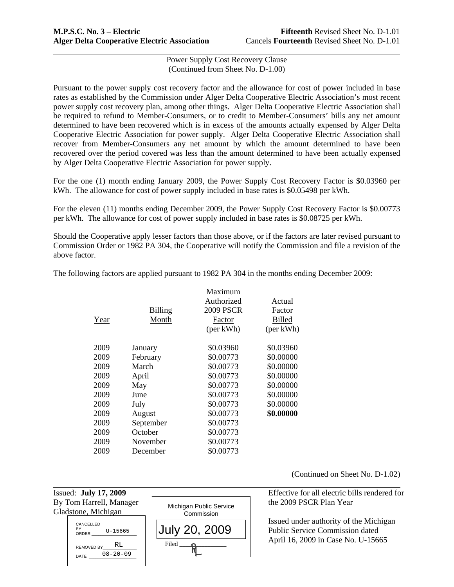Pursuant to the power supply cost recovery factor and the allowance for cost of power included in base rates as established by the Commission under Alger Delta Cooperative Electric Association's most recent power supply cost recovery plan, among other things. Alger Delta Cooperative Electric Association shall be required to refund to Member-Consumers, or to credit to Member-Consumers' bills any net amount determined to have been recovered which is in excess of the amounts actually expensed by Alger Delta Cooperative Electric Association for power supply. Alger Delta Cooperative Electric Association shall recover from Member-Consumers any net amount by which the amount determined to have been recovered over the period covered was less than the amount determined to have been actually expensed by Alger Delta Cooperative Electric Association for power supply.

For the one (1) month ending January 2009, the Power Supply Cost Recovery Factor is \$0.03960 per kWh. The allowance for cost of power supply included in base rates is \$0.05498 per kWh.

For the eleven (11) months ending December 2009, the Power Supply Cost Recovery Factor is \$0.00773 per kWh. The allowance for cost of power supply included in base rates is \$0.08725 per kWh.

Should the Cooperative apply lesser factors than those above, or if the factors are later revised pursuant to Commission Order or 1982 PA 304, the Cooperative will notify the Commission and file a revision of the above factor.

The following factors are applied pursuant to 1982 PA 304 in the months ending December 2009:

|      |                | Maximum<br>Authorized | Actual        |
|------|----------------|-----------------------|---------------|
|      | <b>Billing</b> | <b>2009 PSCR</b>      | Factor        |
| Year | Month          | Factor                | <b>Billed</b> |
|      |                | (per kWh)             | (per kWh)     |
| 2009 | January        | \$0.03960             | \$0.03960     |
| 2009 | February       | \$0.00773             | \$0.00000     |
| 2009 | March          | \$0.00773             | \$0.00000     |
| 2009 | April          | \$0.00773             | \$0.00000     |
| 2009 | May            | \$0.00773             | \$0.00000     |
| 2009 | June           | \$0.00773             | \$0.00000     |
| 2009 | July           | \$0.00773             | \$0.00000     |
| 2009 | August         | \$0.00773             | \$0.00000     |
| 2009 | September      | \$0.00773             |               |
| 2009 | October        | \$0.00773             |               |
| 2009 | November       | \$0.00773             |               |
| 2009 | December       | \$0.00773             |               |

(Continued on Sheet No. D-1.02)

Gladstone, Michigan

l





Issued: **July 17, 2009** Effective for all electric bills rendered for

 Issued under authority of the Michigan Public Service Commission dated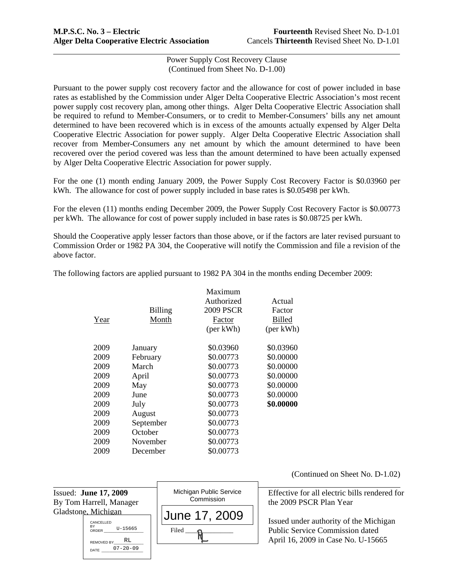Pursuant to the power supply cost recovery factor and the allowance for cost of power included in base rates as established by the Commission under Alger Delta Cooperative Electric Association's most recent power supply cost recovery plan, among other things. Alger Delta Cooperative Electric Association shall be required to refund to Member-Consumers, or to credit to Member-Consumers' bills any net amount determined to have been recovered which is in excess of the amounts actually expensed by Alger Delta Cooperative Electric Association for power supply. Alger Delta Cooperative Electric Association shall recover from Member-Consumers any net amount by which the amount determined to have been recovered over the period covered was less than the amount determined to have been actually expensed by Alger Delta Cooperative Electric Association for power supply.

For the one (1) month ending January 2009, the Power Supply Cost Recovery Factor is \$0.03960 per kWh. The allowance for cost of power supply included in base rates is \$0.05498 per kWh.

For the eleven (11) months ending December 2009, the Power Supply Cost Recovery Factor is \$0.00773 per kWh. The allowance for cost of power supply included in base rates is \$0.08725 per kWh.

Should the Cooperative apply lesser factors than those above, or if the factors are later revised pursuant to Commission Order or 1982 PA 304, the Cooperative will notify the Commission and file a revision of the above factor.

The following factors are applied pursuant to 1982 PA 304 in the months ending December 2009:

|      |                | Maximum    |               |
|------|----------------|------------|---------------|
|      |                | Authorized | Actual        |
|      | <b>Billing</b> | 2009 PSCR  | Factor        |
| Year | Month          | Factor     | <b>Billed</b> |
|      |                | (per kWh)  | (per kWh)     |
| 2009 | January        | \$0.03960  | \$0.03960     |
| 2009 | February       | \$0.00773  | \$0.00000     |
| 2009 | March          | \$0.00773  | \$0.00000     |
| 2009 | April          | \$0.00773  | \$0.00000     |
| 2009 | May            | \$0.00773  | \$0.00000     |
| 2009 | June           | \$0.00773  | \$0.00000     |
| 2009 | July           | \$0.00773  | \$0.00000     |
| 2009 | August         | \$0.00773  |               |
| 2009 | September      | \$0.00773  |               |
| 2009 | October        | \$0.00773  |               |
| 2009 | November       | \$0.00773  |               |
| 2009 | December       | \$0.00773  |               |

l Issued: **June 17, 2009** Michigan Public Service | Effective for all electric bills rendered for By Tom Harrell, Manager **the 2009 PSCR Plan Year** Commission the 2009 PSCR Plan Year Gladstone, Michigan Issued under authority of the Michigan Public Service Commission dated April 16, 2009 in Case No. U-15665 Michigan Public Service **Commission** Filed June 17, 2009 CANCELLED BY<br>ORDER U-15665 REMOVED BY\_\_\_\_\_\_\_\_\_\_\_\_\_\_\_ DATE U-15665 RL 07-20-09

(Continued on Sheet No. D-1.02)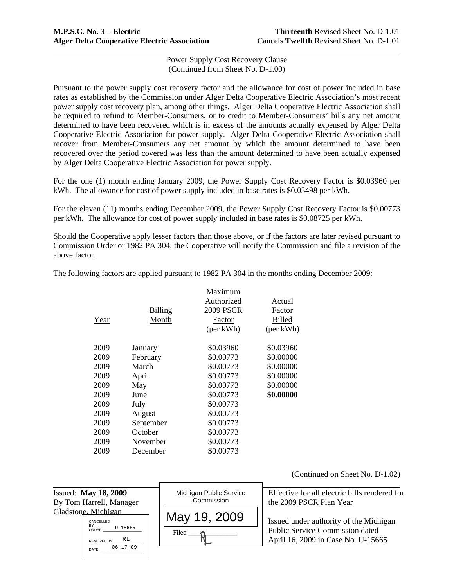Pursuant to the power supply cost recovery factor and the allowance for cost of power included in base rates as established by the Commission under Alger Delta Cooperative Electric Association's most recent power supply cost recovery plan, among other things. Alger Delta Cooperative Electric Association shall be required to refund to Member-Consumers, or to credit to Member-Consumers' bills any net amount determined to have been recovered which is in excess of the amounts actually expensed by Alger Delta Cooperative Electric Association for power supply. Alger Delta Cooperative Electric Association shall recover from Member-Consumers any net amount by which the amount determined to have been recovered over the period covered was less than the amount determined to have been actually expensed by Alger Delta Cooperative Electric Association for power supply.

For the one (1) month ending January 2009, the Power Supply Cost Recovery Factor is \$0.03960 per kWh. The allowance for cost of power supply included in base rates is \$0.05498 per kWh.

For the eleven (11) months ending December 2009, the Power Supply Cost Recovery Factor is \$0.00773 per kWh. The allowance for cost of power supply included in base rates is \$0.08725 per kWh.

Should the Cooperative apply lesser factors than those above, or if the factors are later revised pursuant to Commission Order or 1982 PA 304, the Cooperative will notify the Commission and file a revision of the above factor.

The following factors are applied pursuant to 1982 PA 304 in the months ending December 2009:

|      |                | Maximum          |               |
|------|----------------|------------------|---------------|
|      |                | Authorized       | Actual        |
|      | <b>Billing</b> | <b>2009 PSCR</b> | Factor        |
| Year | Month          | Factor           | <b>Billed</b> |
|      |                | (per kWh)        | (per kWh)     |
| 2009 | January        | \$0.03960        | \$0.03960     |
| 2009 | February       | \$0.00773        | \$0.00000     |
| 2009 | March          | \$0.00773        | \$0.00000     |
| 2009 | April          | \$0.00773        | \$0.00000     |
| 2009 | May            | \$0.00773        | \$0.00000     |
| 2009 | June           | \$0.00773        | \$0.00000     |
| 2009 | July           | \$0.00773        |               |
| 2009 | August         | \$0.00773        |               |
| 2009 | September      | \$0.00773        |               |
| 2009 | October        | \$0.00773        |               |
| 2009 | November       | \$0.00773        |               |
| 2009 | December       | \$0.00773        |               |

(Continued on Sheet No. D-1.02)

| Issued: May 18, 2009                                                                                            | Michigan Public Service | Effective for all electric bills rendered for                                                                          |
|-----------------------------------------------------------------------------------------------------------------|-------------------------|------------------------------------------------------------------------------------------------------------------------|
| By Tom Harrell, Manager                                                                                         | Commission              | the 2009 PSCR Plan Year                                                                                                |
| Gladstone. Michigan<br>CANCELLED<br>BY<br>U-15665<br>ORDER<br>RL<br><b>REMOVED BY</b><br>$06 - 17 - 09$<br>DATE | May 19, 2009<br>Filed   | Issued under authority of the Michigan<br><b>Public Service Commission dated</b><br>April 16, 2009 in Case No. U-15665 |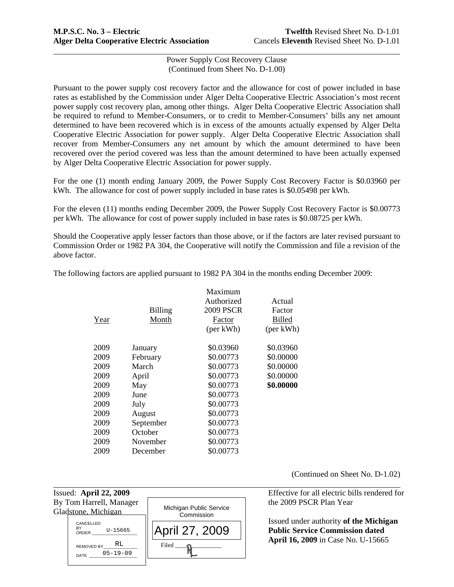Pursuant to the power supply cost recovery factor and the allowance for cost of power included in base rates as established by the Commission under Alger Delta Cooperative Electric Association's most recent power supply cost recovery plan, among other things. Alger Delta Cooperative Electric Association shall be required to refund to Member-Consumers, or to credit to Member-Consumers' bills any net amount determined to have been recovered which is in excess of the amounts actually expensed by Alger Delta Cooperative Electric Association for power supply. Alger Delta Cooperative Electric Association shall recover from Member-Consumers any net amount by which the amount determined to have been recovered over the period covered was less than the amount determined to have been actually expensed by Alger Delta Cooperative Electric Association for power supply.

For the one (1) month ending January 2009, the Power Supply Cost Recovery Factor is \$0.03960 per kWh. The allowance for cost of power supply included in base rates is \$0.05498 per kWh.

For the eleven (11) months ending December 2009, the Power Supply Cost Recovery Factor is \$0.00773 per kWh. The allowance for cost of power supply included in base rates is \$0.08725 per kWh.

Should the Cooperative apply lesser factors than those above, or if the factors are later revised pursuant to Commission Order or 1982 PA 304, the Cooperative will notify the Commission and file a revision of the above factor.

The following factors are applied pursuant to 1982 PA 304 in the months ending December 2009:

|      |                | Maximum<br>Authorized | Actual        |
|------|----------------|-----------------------|---------------|
|      | <b>Billing</b> | <b>2009 PSCR</b>      | Factor        |
| Year | Month          | Factor                | <b>Billed</b> |
|      |                | (per kWh)             | (per kWh)     |
| 2009 | January        | \$0.03960             | \$0.03960     |
| 2009 | February       | \$0.00773             | \$0.00000     |
| 2009 | March          | \$0.00773             | \$0.00000     |
| 2009 | April          | \$0.00773             | \$0.00000     |
| 2009 | May            | \$0.00773             | \$0.00000     |
| 2009 | June           | \$0.00773             |               |
| 2009 | July           | \$0.00773             |               |
| 2009 | August         | \$0.00773             |               |
| 2009 | September      | \$0.00773             |               |
| 2009 | October        | \$0.00773             |               |
| 2009 | November       | \$0.00773             |               |
| 2009 | December       | \$0.00773             |               |

(Continued on Sheet No. D-1.02)

Gladstone, Michigan

l

CANCELLED BY ORDER \_\_\_\_\_\_\_\_\_\_\_\_\_\_\_\_\_\_\_\_ REMOVED BY\_ DATE 05-19-09 U-15665 RL



Issued: **April 22, 2009** Effective for all electric bills rendered for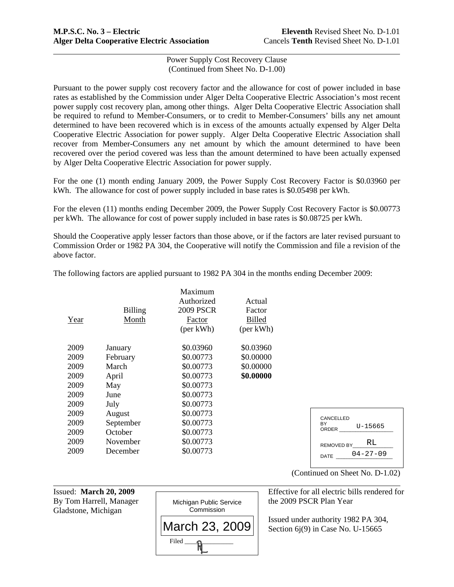Pursuant to the power supply cost recovery factor and the allowance for cost of power included in base rates as established by the Commission under Alger Delta Cooperative Electric Association's most recent power supply cost recovery plan, among other things. Alger Delta Cooperative Electric Association shall be required to refund to Member-Consumers, or to credit to Member-Consumers' bills any net amount determined to have been recovered which is in excess of the amounts actually expensed by Alger Delta Cooperative Electric Association for power supply. Alger Delta Cooperative Electric Association shall recover from Member-Consumers any net amount by which the amount determined to have been recovered over the period covered was less than the amount determined to have been actually expensed by Alger Delta Cooperative Electric Association for power supply.

For the one (1) month ending January 2009, the Power Supply Cost Recovery Factor is \$0.03960 per kWh. The allowance for cost of power supply included in base rates is \$0.05498 per kWh.

For the eleven (11) months ending December 2009, the Power Supply Cost Recovery Factor is \$0.00773 per kWh. The allowance for cost of power supply included in base rates is \$0.08725 per kWh.

Should the Cooperative apply lesser factors than those above, or if the factors are later revised pursuant to Commission Order or 1982 PA 304, the Cooperative will notify the Commission and file a revision of the above factor.

| Year | <b>Billing</b><br>Month | Maximum<br>Authorized<br><b>2009 PSCR</b><br>Factor<br>(per kWh) | Actual<br>Factor<br><b>Billed</b><br>(per kWh) |
|------|-------------------------|------------------------------------------------------------------|------------------------------------------------|
| 2009 | January                 | \$0.03960                                                        | \$0.03960                                      |
| 2009 | February                | \$0.00773                                                        | \$0.00000                                      |
| 2009 | March                   | \$0.00773                                                        | \$0.00000                                      |
| 2009 | April                   | \$0.00773                                                        | \$0.00000                                      |
| 2009 | May                     | \$0.00773                                                        |                                                |
| 2009 | June                    | \$0.00773                                                        |                                                |
| 2009 | July                    | \$0.00773                                                        |                                                |
| 2009 | August                  | \$0.00773                                                        |                                                |
| 2009 | September               | \$0.00773                                                        |                                                |
| 2009 | October                 | \$0.00773                                                        |                                                |
| 2009 | November                | \$0.00773                                                        |                                                |
| 2009 | December                | \$0.00773                                                        |                                                |

The following factors are applied pursuant to 1982 PA 304 in the months ending December 2009:

| CANCELLED<br>RY<br>ORDER | $U - 15665$    |
|--------------------------|----------------|
| <b>REMOVED BY</b>        | RT.            |
| DATE                     | $04 - 27 - 09$ |

Gladstone, Michigan

l



(Continued on Sheet No. D-1.02)

 Issued under authority 1982 PA 304, Section 6j(9) in Case No. U-15665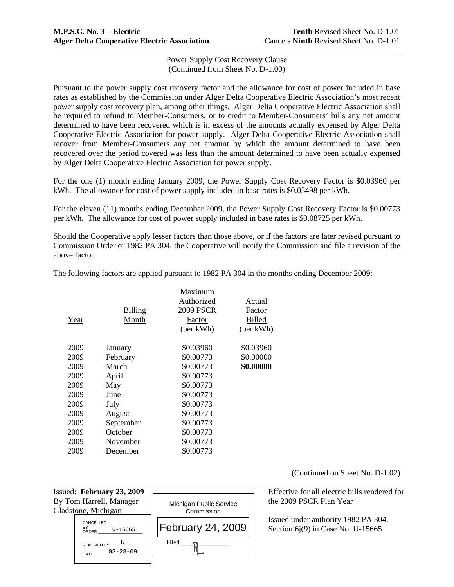Pursuant to the power supply cost recovery factor and the allowance for cost of power included in base rates as established by the Commission under Alger Delta Cooperative Electric Association's most recent power supply cost recovery plan, among other things. Alger Delta Cooperative Electric Association shall be required to refund to Member-Consumers, or to credit to Member-Consumers' bills any net amount determined to have been recovered which is in excess of the amounts actually expensed by Alger Delta Cooperative Electric Association for power supply. Alger Delta Cooperative Electric Association shall recover from Member-Consumers any net amount by which the amount determined to have been recovered over the period covered was less than the amount determined to have been actually expensed by Alger Delta Cooperative Electric Association for power supply.

For the one (1) month ending January 2009, the Power Supply Cost Recovery Factor is \$0.03960 per kWh. The allowance for cost of power supply included in base rates is \$0.05498 per kWh.

For the eleven (11) months ending December 2009, the Power Supply Cost Recovery Factor is \$0.00773 per kWh. The allowance for cost of power supply included in base rates is \$0.08725 per kWh.

Should the Cooperative apply lesser factors than those above, or if the factors are later revised pursuant to Commission Order or 1982 PA 304, the Cooperative will notify the Commission and file a revision of the above factor.

| Year | <b>Billing</b><br>Month | Maximum<br>Authorized<br><b>2009 PSCR</b><br>Factor<br>(per kWh) | Actual<br>Factor<br>Billed<br>(per kWh) |
|------|-------------------------|------------------------------------------------------------------|-----------------------------------------|
| 2009 | January                 | \$0.03960                                                        | \$0.03960                               |
| 2009 | February                | \$0.00773                                                        | \$0.00000                               |
| 2009 | March                   | \$0.00773                                                        | \$0.00000                               |
| 2009 | April                   | \$0.00773                                                        |                                         |
| 2009 | May                     | \$0.00773                                                        |                                         |
| 2009 | June                    | \$0.00773                                                        |                                         |
| 2009 | July                    | \$0.00773                                                        |                                         |
| 2009 | August                  | \$0.00773                                                        |                                         |
| 2009 | September               | \$0.00773                                                        |                                         |
| 2009 | October                 | \$0.00773                                                        |                                         |
| 2009 | November                | \$0.00773                                                        |                                         |
| 2009 | December                | \$0.00773                                                        |                                         |

l

Gladstone, Michigan

CANCELLED

REMOVED BY

BY<br>ORDER U-15665

U-15665 RL

DATE 03-23-09

The following factors are applied pursuant to 1982 PA 304 in the months ending December 2009:

Michigan Public Service **Commission** 

February 24, 2009

 $Filed$   $\longrightarrow$   $\mathbb{R}$ 

(Continued on Sheet No. D-1.02)

Issued: **February 23, 2009** Effective for all electric bills rendered for By Tom Harrell, Manager  $\parallel$  Michigan Public Service  $\parallel$  the 2009 PSCR Plan Year

> Issued under authority 1982 PA 304, Section 6j(9) in Case No. U-15665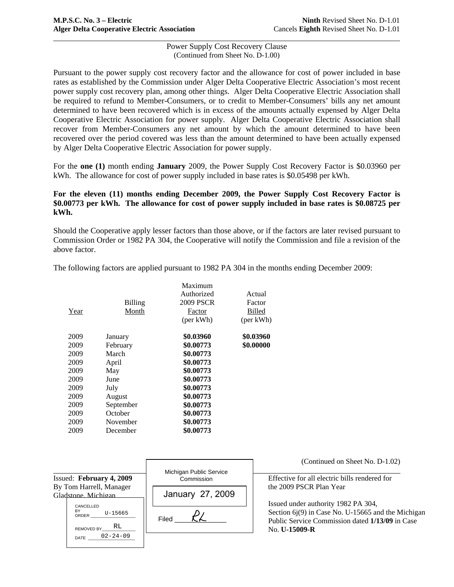Pursuant to the power supply cost recovery factor and the allowance for cost of power included in base rates as established by the Commission under Alger Delta Cooperative Electric Association's most recent power supply cost recovery plan, among other things. Alger Delta Cooperative Electric Association shall be required to refund to Member-Consumers, or to credit to Member-Consumers' bills any net amount determined to have been recovered which is in excess of the amounts actually expensed by Alger Delta Cooperative Electric Association for power supply. Alger Delta Cooperative Electric Association shall recover from Member-Consumers any net amount by which the amount determined to have been recovered over the period covered was less than the amount determined to have been actually expensed by Alger Delta Cooperative Electric Association for power supply.

For the **one (1)** month ending **January** 2009, the Power Supply Cost Recovery Factor is \$0.03960 per kWh. The allowance for cost of power supply included in base rates is \$0.05498 per kWh.

# **For the eleven (11) months ending December 2009, the Power Supply Cost Recovery Factor is \$0.00773 per kWh. The allowance for cost of power supply included in base rates is \$0.08725 per kWh.**

Should the Cooperative apply lesser factors than those above, or if the factors are later revised pursuant to Commission Order or 1982 PA 304, the Cooperative will notify the Commission and file a revision of the above factor.

|      |           | Maximum          |               |
|------|-----------|------------------|---------------|
|      |           | Authorized       | Actual        |
|      | Billing   | <b>2009 PSCR</b> | Factor        |
| Year | Month     | Factor           | <b>Billed</b> |
|      |           | (per kWh)        | (per kWh)     |
| 2009 | January   | \$0.03960        | \$0.03960     |
| 2009 | February  | \$0.00773        | \$0.00000     |
| 2009 | March     | \$0.00773        |               |
| 2009 | April     | \$0.00773        |               |
| 2009 | May       | \$0.00773        |               |
| 2009 | June      | \$0.00773        |               |
| 2009 | July      | \$0.00773        |               |
| 2009 | August    | \$0.00773        |               |
| 2009 | September | \$0.00773        |               |
| 2009 | October   | \$0.00773        |               |
| 2009 | November  | \$0.00773        |               |
| 2009 | December  | \$0.00773        |               |

The following factors are applied pursuant to 1982 PA 304 in the months ending December 2009:

|                                                         |                                       | (Continued on Sheet No. D-1.02)                                                                                                                                 |  |
|---------------------------------------------------------|---------------------------------------|-----------------------------------------------------------------------------------------------------------------------------------------------------------------|--|
| Issued: February 4, 2009                                | Michigan Public Service<br>Commission | Effective for all electric bills rendered for                                                                                                                   |  |
| By Tom Harrell, Manager<br>Gladstone, Michigan          | January 27, 2009                      | the 2009 PSCR Plan Year                                                                                                                                         |  |
| CANCELLED<br>BY<br>U-15665<br>ORDER<br>RL<br>REMOVED BY | Filed                                 | Issued under authority 1982 PA 304,<br>Section $6j(9)$ in Case No. U-15665 and the Michigan<br>Public Service Commission dated 1/13/09 in Case<br>No. U-15009-R |  |
| $02 - 24 - 09$<br><b>DATE</b>                           |                                       |                                                                                                                                                                 |  |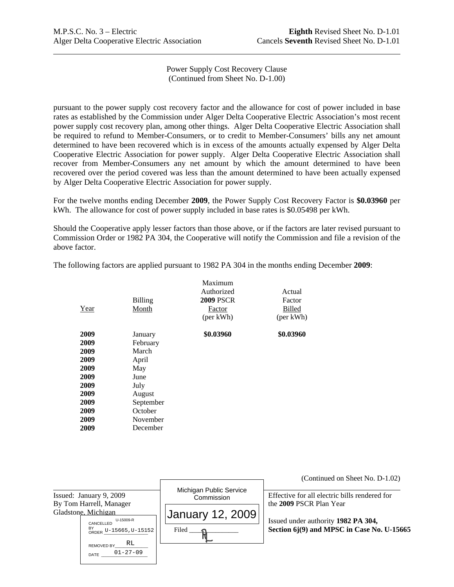Power Supply Cost Recovery Clause (Continued from Sheet No. D-1.00)

pursuant to the power supply cost recovery factor and the allowance for cost of power included in base rates as established by the Commission under Alger Delta Cooperative Electric Association's most recent power supply cost recovery plan, among other things. Alger Delta Cooperative Electric Association shall be required to refund to Member-Consumers, or to credit to Member-Consumers' bills any net amount determined to have been recovered which is in excess of the amounts actually expensed by Alger Delta Cooperative Electric Association for power supply. Alger Delta Cooperative Electric Association shall recover from Member-Consumers any net amount by which the amount determined to have been recovered over the period covered was less than the amount determined to have been actually expensed by Alger Delta Cooperative Electric Association for power supply.

For the twelve months ending December **2009**, the Power Supply Cost Recovery Factor is **\$0.03960** per kWh. The allowance for cost of power supply included in base rates is \$0.05498 per kWh.

Should the Cooperative apply lesser factors than those above, or if the factors are later revised pursuant to Commission Order or 1982 PA 304, the Cooperative will notify the Commission and file a revision of the above factor.

|      |                | Maximum          |               |
|------|----------------|------------------|---------------|
|      |                | Authorized       | Actual        |
|      | <b>Billing</b> | <b>2009 PSCR</b> | Factor        |
| Year | Month          | Factor           | <b>Billed</b> |
|      |                | (per kWh)        | (per kWh)     |
| 2009 | January        | \$0.03960        | \$0.03960     |
| 2009 | February       |                  |               |
| 2009 | March          |                  |               |
| 2009 | April          |                  |               |
| 2009 | May            |                  |               |
| 2009 | June           |                  |               |
| 2009 | July           |                  |               |
| 2009 | August         |                  |               |
| 2009 | September      |                  |               |
| 2009 | October        |                  |               |
| 2009 | November       |                  |               |
| 2009 | December       |                  |               |
|      |                |                  |               |

The following factors are applied pursuant to 1982 PA 304 in the months ending December **2009**:

|                                                           |                                       | (Continued on Sheet No. D-1.02)                                          |
|-----------------------------------------------------------|---------------------------------------|--------------------------------------------------------------------------|
| Issued: January 9, 2009<br>By Tom Harrell, Manager        | Michigan Public Service<br>Commission | Effective for all electric bills rendered for<br>the 2009 PSCR Plan Year |
| Gladstone, Michigan<br>U-15009-R<br>CANCELLED             | January 12, 2009                      | Issued under authority 1982 PA 304,                                      |
| BY<br>ORDER U-15665, U-15152  <br>RL<br><b>REMOVED BY</b> | Filed $\Omega$                        | Section 6j(9) and MPSC in Case No. U-15665                               |
| $01 - 27 - 09$<br>DATE                                    |                                       |                                                                          |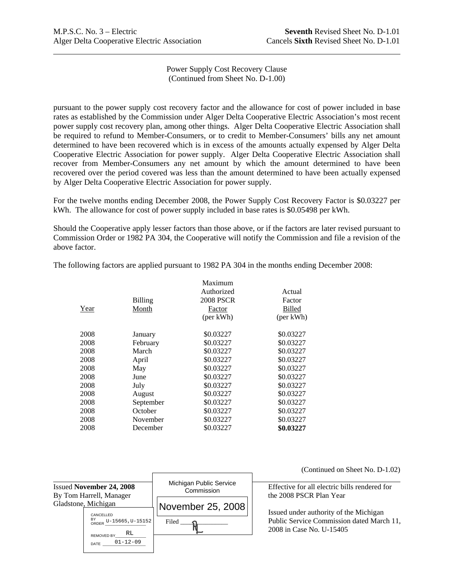Power Supply Cost Recovery Clause (Continued from Sheet No. D-1.00)

pursuant to the power supply cost recovery factor and the allowance for cost of power included in base rates as established by the Commission under Alger Delta Cooperative Electric Association's most recent power supply cost recovery plan, among other things. Alger Delta Cooperative Electric Association shall be required to refund to Member-Consumers, or to credit to Member-Consumers' bills any net amount determined to have been recovered which is in excess of the amounts actually expensed by Alger Delta Cooperative Electric Association for power supply. Alger Delta Cooperative Electric Association shall recover from Member-Consumers any net amount by which the amount determined to have been recovered over the period covered was less than the amount determined to have been actually expensed by Alger Delta Cooperative Electric Association for power supply.

For the twelve months ending December 2008, the Power Supply Cost Recovery Factor is \$0.03227 per kWh. The allowance for cost of power supply included in base rates is \$0.05498 per kWh.

Should the Cooperative apply lesser factors than those above, or if the factors are later revised pursuant to Commission Order or 1982 PA 304, the Cooperative will notify the Commission and file a revision of the above factor.

|      |           | Maximum          |               |
|------|-----------|------------------|---------------|
|      |           | Authorized       | Actual        |
|      | Billing   | <b>2008 PSCR</b> | Factor        |
| Year | Month     | Factor           | <b>Billed</b> |
|      |           | (per kWh)        | (per kWh)     |
| 2008 | January   | \$0.03227        | \$0.03227     |
| 2008 | February  | \$0.03227        | \$0.03227     |
| 2008 | March     | \$0.03227        | \$0.03227     |
| 2008 | April     | \$0.03227        | \$0.03227     |
| 2008 | May       | \$0.03227        | \$0.03227     |
| 2008 | June      | \$0.03227        | \$0.03227     |
| 2008 | July      | \$0.03227        | \$0.03227     |
| 2008 | August    | \$0.03227        | \$0.03227     |
| 2008 | September | \$0.03227        | \$0.03227     |
| 2008 | October   | \$0.03227        | \$0.03227     |
| 2008 | November  | \$0.03227        | \$0.03227     |
| 2008 | December  | \$0.03227        | \$0.03227     |

The following factors are applied pursuant to 1982 PA 304 in the months ending December 2008:

|                                                                                                                 |                                 |                                       | G HOMINIQUE ON                                                                               |
|-----------------------------------------------------------------------------------------------------------------|---------------------------------|---------------------------------------|----------------------------------------------------------------------------------------------|
|                                                                                                                 | <b>Issued November 24, 2008</b> | Michigan Public Service<br>Commission | Effective for all electric bill<br>the 2008 PSCR Plan Year                                   |
| By Tom Harrell, Manager<br>Gladstone, Michigan<br>CANCELLED<br>BY<br>ORDER U-15665, U-15152<br>RL<br>REMOVED BY |                                 | November 25, 2008<br>Filed            | Issued under authority of th<br><b>Public Service Commission</b><br>2008 in Case No. U-15405 |
|                                                                                                                 | DATE 01-12-09                   |                                       |                                                                                              |

(Continued on Sheet No. D-1.02)

**Interactive Effective for all electric bills rendered for** 

ity of the Michigan mission dated March 11,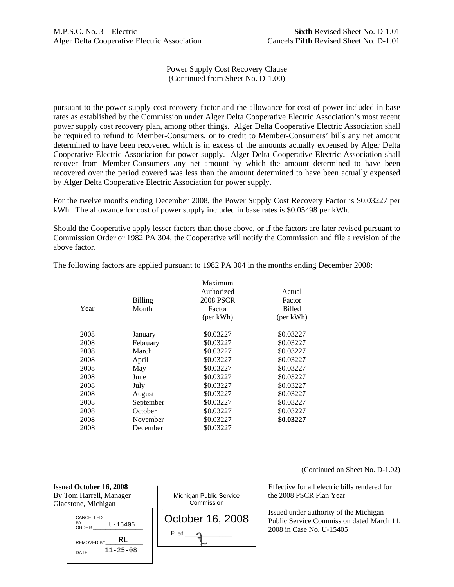Power Supply Cost Recovery Clause (Continued from Sheet No. D-1.00)

pursuant to the power supply cost recovery factor and the allowance for cost of power included in base rates as established by the Commission under Alger Delta Cooperative Electric Association's most recent power supply cost recovery plan, among other things. Alger Delta Cooperative Electric Association shall be required to refund to Member-Consumers, or to credit to Member-Consumers' bills any net amount determined to have been recovered which is in excess of the amounts actually expensed by Alger Delta Cooperative Electric Association for power supply. Alger Delta Cooperative Electric Association shall recover from Member-Consumers any net amount by which the amount determined to have been recovered over the period covered was less than the amount determined to have been actually expensed by Alger Delta Cooperative Electric Association for power supply.

For the twelve months ending December 2008, the Power Supply Cost Recovery Factor is \$0.03227 per kWh. The allowance for cost of power supply included in base rates is \$0.05498 per kWh.

Should the Cooperative apply lesser factors than those above, or if the factors are later revised pursuant to Commission Order or 1982 PA 304, the Cooperative will notify the Commission and file a revision of the above factor.

|      |           | Maximum          |               |
|------|-----------|------------------|---------------|
|      |           | Authorized       | Actual        |
|      | Billing   | <b>2008 PSCR</b> | Factor        |
| Year | Month     | Factor           | <b>Billed</b> |
|      |           | (per kWh)        | (per kWh)     |
| 2008 | January   | \$0.03227        | \$0.03227     |
| 2008 | February  | \$0.03227        | \$0.03227     |
| 2008 | March     | \$0.03227        | \$0.03227     |
| 2008 | April     | \$0.03227        | \$0.03227     |
| 2008 | May       | \$0.03227        | \$0.03227     |
| 2008 | June      | \$0.03227        | \$0.03227     |
| 2008 | July      | \$0.03227        | \$0.03227     |
| 2008 | August    | \$0.03227        | \$0.03227     |
| 2008 | September | \$0.03227        | \$0.03227     |
| 2008 | October   | \$0.03227        | \$0.03227     |
| 2008 | November  | \$0.03227        | \$0.03227     |
| 2008 | December  | \$0.03227        |               |

The following factors are applied pursuant to 1982 PA 304 in the months ending December 2008:

(Continued on Sheet No. D-1.02)

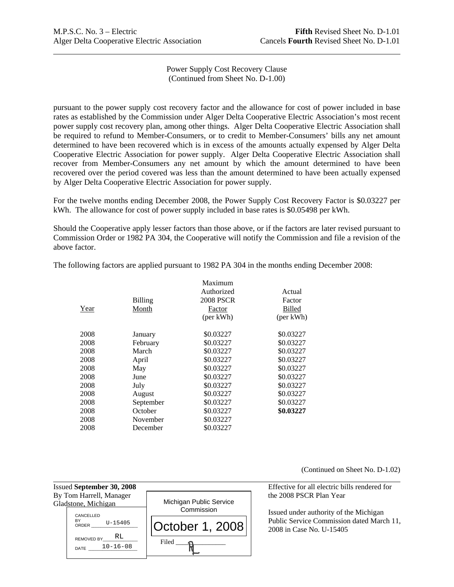$\overline{a}$ 

Power Supply Cost Recovery Clause (Continued from Sheet No. D-1.00)

pursuant to the power supply cost recovery factor and the allowance for cost of power included in base rates as established by the Commission under Alger Delta Cooperative Electric Association's most recent power supply cost recovery plan, among other things. Alger Delta Cooperative Electric Association shall be required to refund to Member-Consumers, or to credit to Member-Consumers' bills any net amount determined to have been recovered which is in excess of the amounts actually expensed by Alger Delta Cooperative Electric Association for power supply. Alger Delta Cooperative Electric Association shall recover from Member-Consumers any net amount by which the amount determined to have been recovered over the period covered was less than the amount determined to have been actually expensed by Alger Delta Cooperative Electric Association for power supply.

For the twelve months ending December 2008, the Power Supply Cost Recovery Factor is \$0.03227 per kWh. The allowance for cost of power supply included in base rates is \$0.05498 per kWh.

Should the Cooperative apply lesser factors than those above, or if the factors are later revised pursuant to Commission Order or 1982 PA 304, the Cooperative will notify the Commission and file a revision of the above factor.

|      |           | Maximum          |               |
|------|-----------|------------------|---------------|
|      |           | Authorized       | Actual        |
|      | Billing   | <b>2008 PSCR</b> | Factor        |
| Year | Month     | Factor           | <b>Billed</b> |
|      |           | (per kWh)        | (per kWh)     |
| 2008 | January   | \$0.03227        | \$0.03227     |
| 2008 | February  | \$0.03227        | \$0.03227     |
| 2008 | March     | \$0.03227        | \$0.03227     |
| 2008 | April     | \$0.03227        | \$0.03227     |
| 2008 | May       | \$0.03227        | \$0.03227     |
| 2008 | June      | \$0.03227        | \$0.03227     |
| 2008 | July      | \$0.03227        | \$0.03227     |
| 2008 | August    | \$0.03227        | \$0.03227     |
| 2008 | September | \$0.03227        | \$0.03227     |
| 2008 | October   | \$0.03227        | \$0.03227     |
| 2008 | November  | \$0.03227        |               |
| 2008 | December  | \$0.03227        |               |

The following factors are applied pursuant to 1982 PA 304 in the months ending December 2008:

(Continued on Sheet No. D-1.02)



 Issued under authority of the Michigan Public Service Commission dated March 11,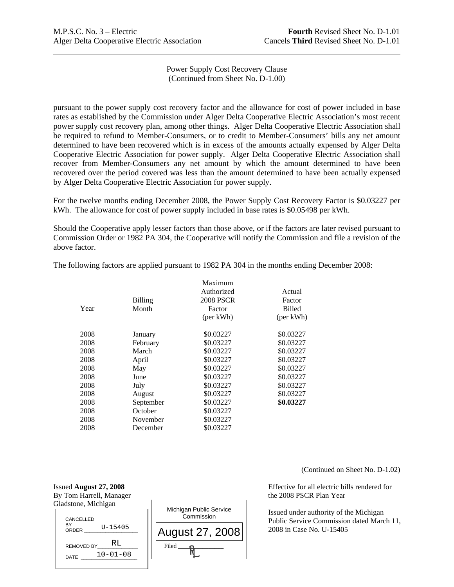l

Power Supply Cost Recovery Clause (Continued from Sheet No. D-1.00)

pursuant to the power supply cost recovery factor and the allowance for cost of power included in base rates as established by the Commission under Alger Delta Cooperative Electric Association's most recent power supply cost recovery plan, among other things. Alger Delta Cooperative Electric Association shall be required to refund to Member-Consumers, or to credit to Member-Consumers' bills any net amount determined to have been recovered which is in excess of the amounts actually expensed by Alger Delta Cooperative Electric Association for power supply. Alger Delta Cooperative Electric Association shall recover from Member-Consumers any net amount by which the amount determined to have been recovered over the period covered was less than the amount determined to have been actually expensed by Alger Delta Cooperative Electric Association for power supply.

For the twelve months ending December 2008, the Power Supply Cost Recovery Factor is \$0.03227 per kWh. The allowance for cost of power supply included in base rates is \$0.05498 per kWh.

Should the Cooperative apply lesser factors than those above, or if the factors are later revised pursuant to Commission Order or 1982 PA 304, the Cooperative will notify the Commission and file a revision of the above factor.

|      |           | Maximum          |               |
|------|-----------|------------------|---------------|
|      |           | Authorized       | Actual        |
|      | Billing   | <b>2008 PSCR</b> | Factor        |
| Year | Month     | Factor           | <b>Billed</b> |
|      |           | (per kWh)        | (per kWh)     |
| 2008 | January   | \$0.03227        | \$0.03227     |
| 2008 | February  | \$0.03227        | \$0.03227     |
| 2008 | March     | \$0.03227        | \$0.03227     |
| 2008 | April     | \$0.03227        | \$0.03227     |
| 2008 | May       | \$0.03227        | \$0.03227     |
| 2008 | June      | \$0.03227        | \$0.03227     |
| 2008 | July      | \$0.03227        | \$0.03227     |
| 2008 | August    | \$0.03227        | \$0.03227     |
| 2008 | September | \$0.03227        | \$0.03227     |
| 2008 | October   | \$0.03227        |               |
| 2008 | November  | \$0.03227        |               |
| 2008 | December  | \$0.03227        |               |

The following factors are applied pursuant to 1982 PA 304 in the months ending December 2008:

(Continued on Sheet No. D-1.02)

Issued **August 27, 2008** Effective for all electric bills rendered for By Tom Harrell, Manager the 2008 PSCR Plan Year Gladstone, Michigan Michigan Public Service **Commission**  $Filed$   $\longrightarrow$ August 27, 2008 CANCELLED **BY** ORDER REMOVED BY\_ DATE 10-01-08  $U - 15405$ RL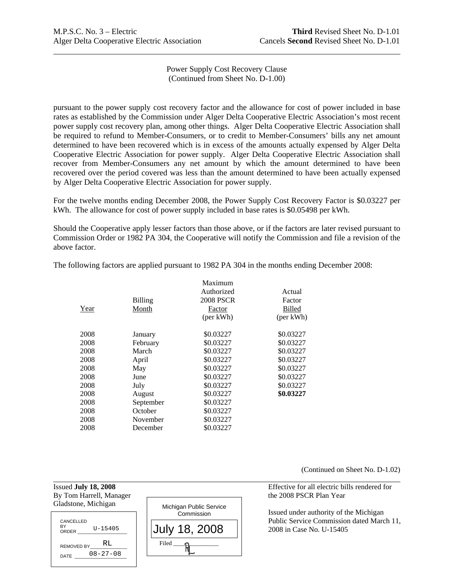$\overline{a}$ 

Power Supply Cost Recovery Clause (Continued from Sheet No. D-1.00)

pursuant to the power supply cost recovery factor and the allowance for cost of power included in base rates as established by the Commission under Alger Delta Cooperative Electric Association's most recent power supply cost recovery plan, among other things. Alger Delta Cooperative Electric Association shall be required to refund to Member-Consumers, or to credit to Member-Consumers' bills any net amount determined to have been recovered which is in excess of the amounts actually expensed by Alger Delta Cooperative Electric Association for power supply. Alger Delta Cooperative Electric Association shall recover from Member-Consumers any net amount by which the amount determined to have been recovered over the period covered was less than the amount determined to have been actually expensed by Alger Delta Cooperative Electric Association for power supply.

For the twelve months ending December 2008, the Power Supply Cost Recovery Factor is \$0.03227 per kWh. The allowance for cost of power supply included in base rates is \$0.05498 per kWh.

Should the Cooperative apply lesser factors than those above, or if the factors are later revised pursuant to Commission Order or 1982 PA 304, the Cooperative will notify the Commission and file a revision of the above factor.

|      |           | Maximum          |               |
|------|-----------|------------------|---------------|
|      |           | Authorized       | Actual        |
|      | Billing   | <b>2008 PSCR</b> | Factor        |
| Year | Month     | Factor           | <b>Billed</b> |
|      |           | (per kWh)        | (per kWh)     |
| 2008 | January   | \$0.03227        | \$0.03227     |
| 2008 | February  | \$0.03227        | \$0.03227     |
| 2008 | March     | \$0.03227        | \$0.03227     |
| 2008 | April     | \$0.03227        | \$0.03227     |
| 2008 | May       | \$0.03227        | \$0.03227     |
| 2008 | June      | \$0.03227        | \$0.03227     |
| 2008 | July      | \$0.03227        | \$0.03227     |
| 2008 | August    | \$0.03227        | \$0.03227     |
| 2008 | September | \$0.03227        |               |
| 2008 | October   | \$0.03227        |               |
| 2008 | November  | \$0.03227        |               |
| 2008 | December  | \$0.03227        |               |

The following factors are applied pursuant to 1982 PA 304 in the months ending December 2008:

(Continued on Sheet No. D-1.02)

Issued **July 18, 2008** Effective for all electric bills rendered for

 Issued under authority of the Michigan Public Service Commission dated March 11, 2008 in Case No. U-15405



l

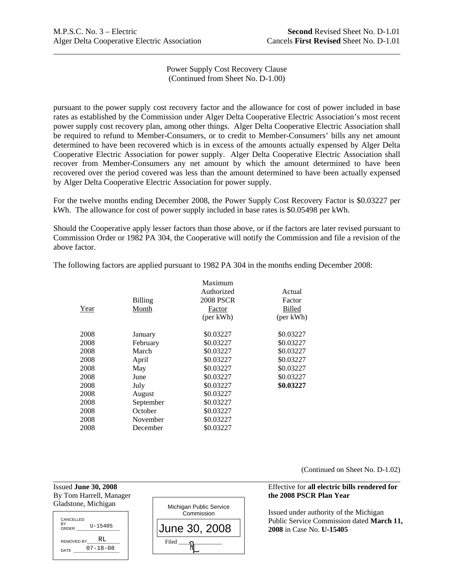Power Supply Cost Recovery Clause (Continued from Sheet No. D-1.00)

pursuant to the power supply cost recovery factor and the allowance for cost of power included in base rates as established by the Commission under Alger Delta Cooperative Electric Association's most recent power supply cost recovery plan, among other things. Alger Delta Cooperative Electric Association shall be required to refund to Member-Consumers, or to credit to Member-Consumers' bills any net amount determined to have been recovered which is in excess of the amounts actually expensed by Alger Delta Cooperative Electric Association for power supply. Alger Delta Cooperative Electric Association shall recover from Member-Consumers any net amount by which the amount determined to have been recovered over the period covered was less than the amount determined to have been actually expensed by Alger Delta Cooperative Electric Association for power supply.

For the twelve months ending December 2008, the Power Supply Cost Recovery Factor is \$0.03227 per kWh. The allowance for cost of power supply included in base rates is \$0.05498 per kWh.

Should the Cooperative apply lesser factors than those above, or if the factors are later revised pursuant to Commission Order or 1982 PA 304, the Cooperative will notify the Commission and file a revision of the above factor.

|      |           | Maximum          |               |
|------|-----------|------------------|---------------|
|      |           | Authorized       | Actual        |
|      | Billing   | <b>2008 PSCR</b> | Factor        |
| Year | Month     | Factor           | <b>Billed</b> |
|      |           | (per kWh)        | (per kWh)     |
| 2008 | January   | \$0.03227        | \$0.03227     |
| 2008 | February  | \$0.03227        | \$0.03227     |
| 2008 | March     | \$0.03227        | \$0.03227     |
| 2008 | April     | \$0.03227        | \$0.03227     |
| 2008 | May       | \$0.03227        | \$0.03227     |
| 2008 | June      | \$0.03227        | \$0.03227     |
| 2008 | July      | \$0.03227        | \$0.03227     |
| 2008 | August    | \$0.03227        |               |
| 2008 | September | \$0.03227        |               |
| 2008 | October   | \$0.03227        |               |
| 2008 | November  | \$0.03227        |               |
| 2008 | December  | \$0.03227        |               |

The following factors are applied pursuant to 1982 PA 304 in the months ending December 2008:

(Continued on Sheet No. D-1.02)

# Issued **June 30, 2008** Effective for **all electric bills rendered for** the 2008 PSCR Plan Year

 Issued under authority of the Michigan Public Service Commission dated **March 11,** 

| By Tom Harrell, Manager<br>Gladstone, Michigan |  |  |
|------------------------------------------------|--|--|
| CANCELLED<br>BY<br>$U - 15405$<br>ORDER        |  |  |
| RL<br>REMOVED BY                               |  |  |
| $07 - 18 - 08$<br>DATE                         |  |  |

l

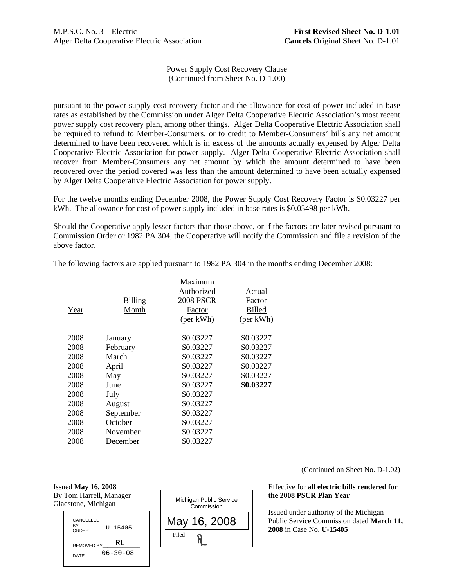Power Supply Cost Recovery Clause (Continued from Sheet No. D-1.00)

pursuant to the power supply cost recovery factor and the allowance for cost of power included in base rates as established by the Commission under Alger Delta Cooperative Electric Association's most recent power supply cost recovery plan, among other things. Alger Delta Cooperative Electric Association shall be required to refund to Member-Consumers, or to credit to Member-Consumers' bills any net amount determined to have been recovered which is in excess of the amounts actually expensed by Alger Delta Cooperative Electric Association for power supply. Alger Delta Cooperative Electric Association shall recover from Member-Consumers any net amount by which the amount determined to have been recovered over the period covered was less than the amount determined to have been actually expensed by Alger Delta Cooperative Electric Association for power supply.

For the twelve months ending December 2008, the Power Supply Cost Recovery Factor is \$0.03227 per kWh. The allowance for cost of power supply included in base rates is \$0.05498 per kWh.

Should the Cooperative apply lesser factors than those above, or if the factors are later revised pursuant to Commission Order or 1982 PA 304, the Cooperative will notify the Commission and file a revision of the above factor.

|      |                | Maximum    |               |
|------|----------------|------------|---------------|
|      |                | Authorized | Actual        |
|      | <b>Billing</b> | 2008 PSCR  | Factor        |
| Year | Month          | Factor     | <b>Billed</b> |
|      |                | (per kWh)  | (per kWh)     |
| 2008 | January        | \$0.03227  | \$0.03227     |
| 2008 | February       | \$0.03227  | \$0.03227     |
| 2008 | March          | \$0.03227  | \$0.03227     |
| 2008 | April          | \$0.03227  | \$0.03227     |
| 2008 | May            | \$0.03227  | \$0.03227     |
| 2008 | June           | \$0.03227  | \$0.03227     |
| 2008 | July           | \$0.03227  |               |
| 2008 | August         | \$0.03227  |               |
| 2008 | September      | \$0.03227  |               |
| 2008 | October        | \$0.03227  |               |
| 2008 | November       | \$0.03227  |               |
| 2008 | December       | \$0.03227  |               |

The following factors are applied pursuant to 1982 PA 304 in the months ending December 2008:

(Continued on Sheet No. D-1.02)

# Issued **May 16, 2008** Effective for **all electric bills rendered for**

 Issued under authority of the Michigan Public Service Commission dated **March 11, 2008** in Case No. **U-15405**

Gladstone, Michigan

l



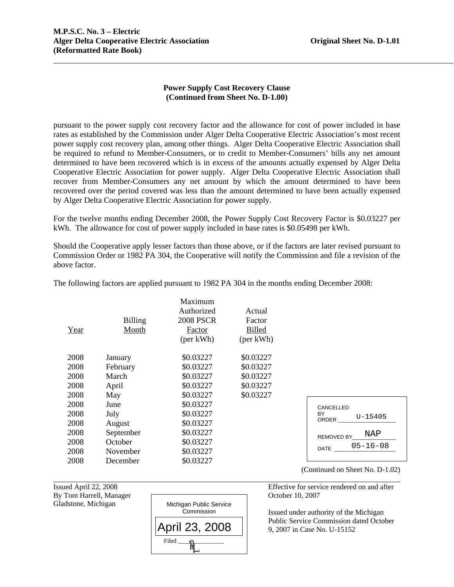$\overline{a}$ 

# **Power Supply Cost Recovery Clause (Continued from Sheet No. D-1.00)**

pursuant to the power supply cost recovery factor and the allowance for cost of power included in base rates as established by the Commission under Alger Delta Cooperative Electric Association's most recent power supply cost recovery plan, among other things. Alger Delta Cooperative Electric Association shall be required to refund to Member-Consumers, or to credit to Member-Consumers' bills any net amount determined to have been recovered which is in excess of the amounts actually expensed by Alger Delta Cooperative Electric Association for power supply. Alger Delta Cooperative Electric Association shall recover from Member-Consumers any net amount by which the amount determined to have been recovered over the period covered was less than the amount determined to have been actually expensed by Alger Delta Cooperative Electric Association for power supply.

For the twelve months ending December 2008, the Power Supply Cost Recovery Factor is \$0.03227 per kWh. The allowance for cost of power supply included in base rates is \$0.05498 per kWh.

Should the Cooperative apply lesser factors than those above, or if the factors are later revised pursuant to Commission Order or 1982 PA 304, the Cooperative will notify the Commission and file a revision of the above factor.

| Year | <b>Billing</b><br>Month | Maximum<br>Authorized<br><b>2008 PSCR</b><br>Factor<br>(per kWh) | Actual<br>Factor<br><b>Billed</b><br>(per kWh) |
|------|-------------------------|------------------------------------------------------------------|------------------------------------------------|
| 2008 | January                 | \$0.03227                                                        | \$0.03227                                      |
| 2008 | February                | \$0.03227                                                        | \$0.03227                                      |
| 2008 | March                   | \$0.03227                                                        | \$0.03227                                      |
| 2008 | April                   | \$0.03227                                                        | \$0.03227                                      |
| 2008 | May                     | \$0.03227                                                        | \$0.03227                                      |
| 2008 | June                    | \$0.03227                                                        |                                                |
| 2008 | July                    | \$0.03227                                                        |                                                |
| 2008 | August                  | \$0.03227                                                        |                                                |
| 2008 | September               | \$0.03227                                                        |                                                |
| 2008 | October                 | \$0.03227                                                        |                                                |
| 2008 | November                | \$0.03227                                                        |                                                |
| 2008 | December                | \$0.03227                                                        |                                                |

The following factors are applied pursuant to 1982 PA 304 in the months ending December 2008:

Gladstone, Michigan

l



(Continued on Sheet No. D-1.02)

DATE \_\_\_\_\_\_\_\_\_\_\_\_\_\_\_\_\_\_\_\_\_ 05-16-08

U-15405

NAP

Issued April 22, 2008 Effective for service rendered on and after

CANCELLED **BY** ORDER \_\_\_\_\_\_\_\_\_\_\_\_\_\_\_\_\_\_\_\_

REMOVED BY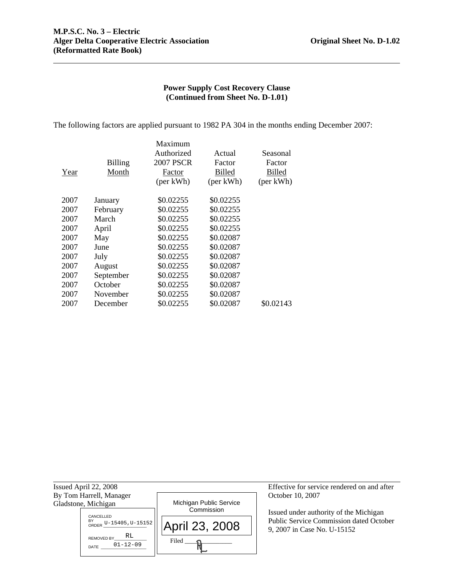The following factors are applied pursuant to 1982 PA 304 in the months ending December 2007:

|                | Maximum    |               |               |
|----------------|------------|---------------|---------------|
|                | Authorized | Actual        | Seasonal      |
| <b>Billing</b> | 2007 PSCR  | Factor        | Factor        |
| Month          | Factor     | <b>Billed</b> | <b>Billed</b> |
|                | (per kWh)  | (per kWh)     | (per kWh)     |
|                | \$0.02255  | \$0.02255     |               |
| February       | \$0.02255  | \$0.02255     |               |
| March          | \$0.02255  | \$0.02255     |               |
| April          | \$0.02255  | \$0.02255     |               |
| May            | \$0.02255  | \$0.02087     |               |
| June           | \$0.02255  | \$0.02087     |               |
| July           | \$0.02255  | \$0.02087     |               |
| August         | \$0.02255  | \$0.02087     |               |
| September      | \$0.02255  | \$0.02087     |               |
| October        | \$0.02255  | \$0.02087     |               |
| November       | \$0.02255  | \$0.02087     |               |
| December       | \$0.02255  | \$0.02087     | \$0.02143     |
|                | January    |               |               |

| Issued April 22, 2008                             |                                       | Effective for service rendered on and after                            |
|---------------------------------------------------|---------------------------------------|------------------------------------------------------------------------|
| By Tom Harrell, Manager                           |                                       | October 10, 2007                                                       |
| Gladstone, Michigan                               | Michigan Public Service<br>Commission |                                                                        |
| CANCELLED                                         |                                       | Issued under authority of the Michigan                                 |
| BY ORDER $U-15405$ , $U-15152$                    | April 23, 2008                        | Public Service Commission dated October<br>9, 2007 in Case No. U-15152 |
| RL<br><b>REMOVED BY</b><br>$01 - 12 - 09$<br>DATE | Filed                                 |                                                                        |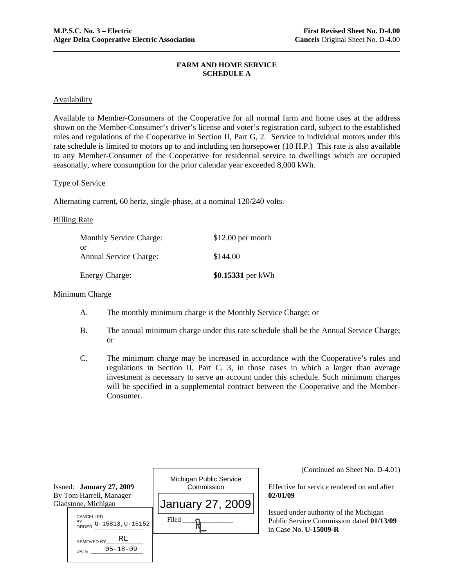## **FARM AND HOME SERVICE SCHEDULE A**

# **Availability**

Available to Member-Consumers of the Cooperative for all normal farm and home uses at the address shown on the Member-Consumer's driver's license and voter's registration card, subject to the established rules and regulations of the Cooperative in Section II, Part G, 2. Service to individual motors under this rate schedule is limited to motors up to and including ten horsepower (10 H.P.) This rate is also available to any Member-Consumer of the Cooperative for residential service to dwellings which are occupied seasonally, where consumption for the prior calendar year exceeded 8,000 kWh.

# Type of Service

Alternating current, 60 hertz, single-phase, at a nominal 120/240 volts.

### Billing Rate

| <b>Monthly Service Charge:</b>      | $$12.00$ per month |
|-------------------------------------|--------------------|
| or<br><b>Annual Service Charge:</b> | \$144.00           |
| <b>Energy Charge:</b>               | \$0.15331 per kWh  |

#### Minimum Charge

- A. The monthly minimum charge is the Monthly Service Charge; or
- B. The annual minimum charge under this rate schedule shall be the Annual Service Charge; or
- C. The minimum charge may be increased in accordance with the Cooperative's rules and regulations in Section II, Part C, 3, in those cases in which a larger than average investment is necessary to serve an account under this schedule. Such minimum charges will be specified in a supplemental contract between the Cooperative and the Member-Consumer.

|                                                          |                                       | (Continued on Sheet No. D-4.01)                                          |
|----------------------------------------------------------|---------------------------------------|--------------------------------------------------------------------------|
| Issued: January 27, 2009                                 | Michigan Public Service<br>Commission | Effective for service rendered on and after                              |
| By Tom Harrell, Manager<br>Gladstone, Michigan           | January 27, 2009                      | 02/01/09<br>Issued under authority of the Michigan                       |
| CANCELLED<br>BY<br>ORDER U-15813, U-15152                | Filed                                 | Public Service Commission dated 01/13/09<br>in Case No. <b>U-15009-R</b> |
| RL<br><b>REMOVED BY</b><br>$05 - 18 - 09$<br><b>DATE</b> |                                       |                                                                          |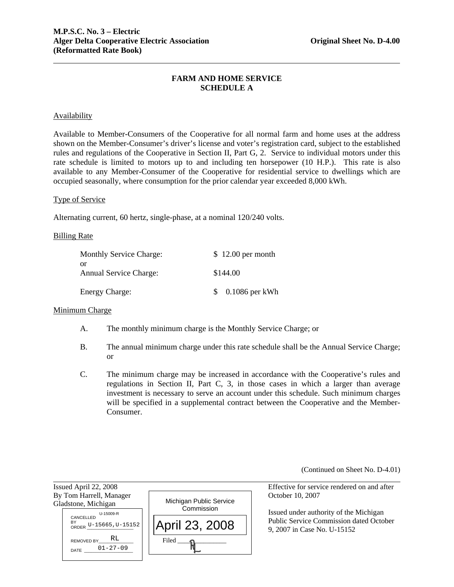# **FARM AND HOME SERVICE SCHEDULE A**

# Availability

Available to Member-Consumers of the Cooperative for all normal farm and home uses at the address shown on the Member-Consumer's driver's license and voter's registration card, subject to the established rules and regulations of the Cooperative in Section II, Part G, 2. Service to individual motors under this rate schedule is limited to motors up to and including ten horsepower (10 H.P.). This rate is also available to any Member-Consumer of the Cooperative for residential service to dwellings which are occupied seasonally, where consumption for the prior calendar year exceeded 8,000 kWh.

#### Type of Service

Alternating current, 60 hertz, single-phase, at a nominal 120/240 volts.

#### Billing Rate

| <b>Monthly Service Charge:</b>      | $$12.00$ per month |
|-------------------------------------|--------------------|
| or<br><b>Annual Service Charge:</b> | \$144.00           |
| <b>Energy Charge:</b>               | $0.1086$ per kWh   |

# Minimum Charge

l

- A. The monthly minimum charge is the Monthly Service Charge; or
- B. The annual minimum charge under this rate schedule shall be the Annual Service Charge; or
- C. The minimum charge may be increased in accordance with the Cooperative's rules and regulations in Section II, Part C, 3, in those cases in which a larger than average investment is necessary to serve an account under this schedule. Such minimum charges will be specified in a supplemental contract between the Cooperative and the Member-Consumer.

(Continued on Sheet No. D-4.01)

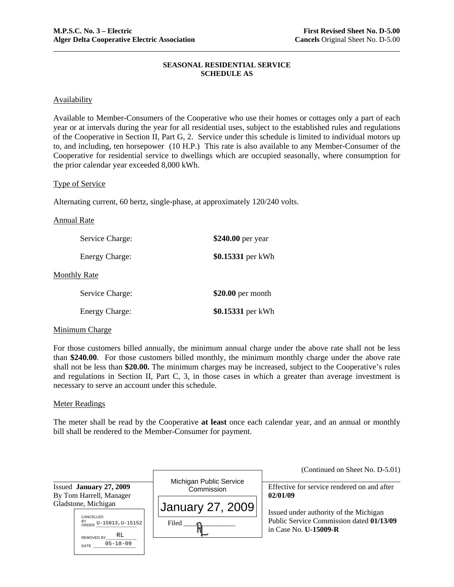# **SEASONAL RESIDENTIAL SERVICE SCHEDULE AS**

# **Availability**

Available to Member-Consumers of the Cooperative who use their homes or cottages only a part of each year or at intervals during the year for all residential uses, subject to the established rules and regulations of the Cooperative in Section II, Part G, 2. Service under this schedule is limited to individual motors up to, and including, ten horsepower (10 H.P.) This rate is also available to any Member-Consumer of the Cooperative for residential service to dwellings which are occupied seasonally, where consumption for the prior calendar year exceeded 8,000 kWh.

# Type of Service

Alternating current, 60 hertz, single-phase, at approximately 120/240 volts.

#### Annual Rate

| Service Charge:       | \$240.00 per year  |
|-----------------------|--------------------|
| <b>Energy Charge:</b> | \$0.15331 per kWh  |
| <b>Monthly Rate</b>   |                    |
| Service Charge:       | $$20.00$ per month |
| <b>Energy Charge:</b> | \$0.15331 per kWh  |

# Minimum Charge

For those customers billed annually, the minimum annual charge under the above rate shall not be less than **\$240.00**. For those customers billed monthly, the minimum monthly charge under the above rate shall not be less than **\$20.00.** The minimum charges may be increased, subject to the Cooperative's rules and regulations in Section II, Part C, 3, in those cases in which a greater than average investment is necessary to serve an account under this schedule.

### Meter Readings

The meter shall be read by the Cooperative **at least** once each calendar year, and an annual or monthly bill shall be rendered to the Member-Consumer for payment.

|                                                                      |                                       | (Continued on Sheet No. D-5.01)                                          |
|----------------------------------------------------------------------|---------------------------------------|--------------------------------------------------------------------------|
| Issued January 27, 2009<br>By Tom Harrell, Manager                   | Michigan Public Service<br>Commission | Effective for service rendered on and after<br>02/01/09                  |
| Gladstone, Michigan                                                  | January 27, 2009                      | Issued under authority of the Michigan                                   |
| CANCELLED<br>BY<br>ORDER U-15813, U-15152<br>RL<br><b>REMOVED BY</b> | Filed                                 | Public Service Commission dated 01/13/09<br>in Case No. <b>U-15009-R</b> |
| $05 - 18 - 09$<br>DATE                                               |                                       |                                                                          |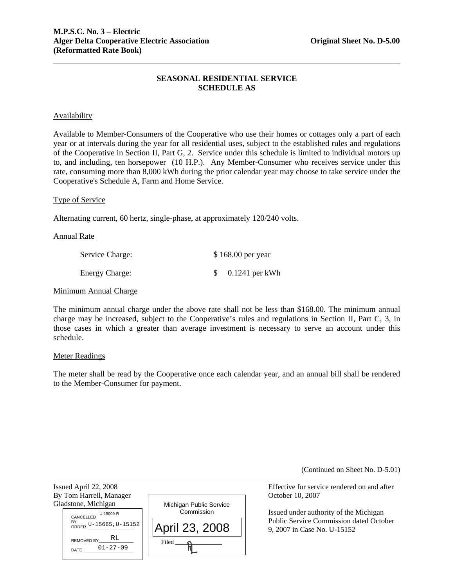# **SEASONAL RESIDENTIAL SERVICE SCHEDULE AS**

# **Availability**

Available to Member-Consumers of the Cooperative who use their homes or cottages only a part of each year or at intervals during the year for all residential uses, subject to the established rules and regulations of the Cooperative in Section II, Part G, 2. Service under this schedule is limited to individual motors up to, and including, ten horsepower (10 H.P.). Any Member-Consumer who receives service under this rate, consuming more than 8,000 kWh during the prior calendar year may choose to take service under the Cooperative's Schedule A, Farm and Home Service.

#### Type of Service

Alternating current, 60 hertz, single-phase, at approximately 120/240 volts.

#### Annual Rate

| Service Charge:       | \$168.00 per year |
|-----------------------|-------------------|
| <b>Energy Charge:</b> | $0.1241$ per kWh  |

#### Minimum Annual Charge

The minimum annual charge under the above rate shall not be less than \$168.00. The minimum annual charge may be increased, subject to the Cooperative's rules and regulations in Section II, Part C, 3, in those cases in which a greater than average investment is necessary to serve an account under this schedule.

#### Meter Readings

l

The meter shall be read by the Cooperative once each calendar year, and an annual bill shall be rendered to the Member-Consumer for payment.

(Continued on Sheet No. D-5.01)

Issued April 22, 2008 Effective for service rendered on and after By Tom Harrell, Manager Cameraceae Corollary Corollary Corollary October 10, 2007 Gladstone, Michigan Michigan Public Service Commission  $Filed$   $\longrightarrow$ April 23, 2008 U-15009-R<br>CANCELLED<br>N.C BY<br>ORDER U-15665, U-15152 REMOVED BY DATE \_\_\_\_\_\_\_\_\_\_\_\_\_\_\_\_\_\_\_\_\_ RL  $0.15009-R$ <br>5665, U-15<br> $\sqrt{\text{RL}}$ <br>01-27-09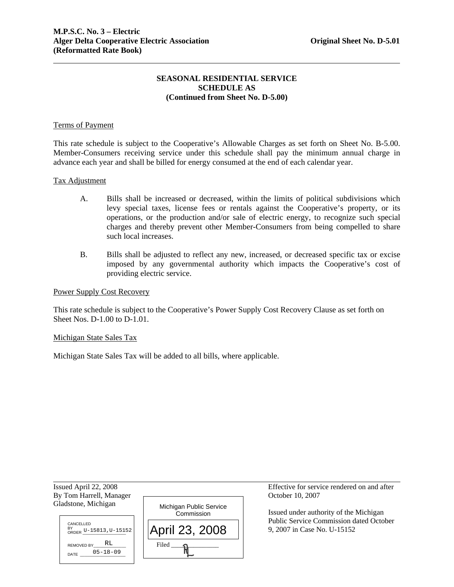# **SEASONAL RESIDENTIAL SERVICE SCHEDULE AS (Continued from Sheet No. D-5.00)**

### Terms of Payment

This rate schedule is subject to the Cooperative's Allowable Charges as set forth on Sheet No. B-5.00. Member-Consumers receiving service under this schedule shall pay the minimum annual charge in advance each year and shall be billed for energy consumed at the end of each calendar year.

#### Tax Adjustment

- A. Bills shall be increased or decreased, within the limits of political subdivisions which levy special taxes, license fees or rentals against the Cooperative's property, or its operations, or the production and/or sale of electric energy, to recognize such special charges and thereby prevent other Member-Consumers from being compelled to share such local increases.
- B. Bills shall be adjusted to reflect any new, increased, or decreased specific tax or excise imposed by any governmental authority which impacts the Cooperative's cost of providing electric service.

#### Power Supply Cost Recovery

This rate schedule is subject to the Cooperative's Power Supply Cost Recovery Clause as set forth on Sheet Nos. D-1.00 to D-1.01.

#### Michigan State Sales Tax

Michigan State Sales Tax will be added to all bills, where applicable.

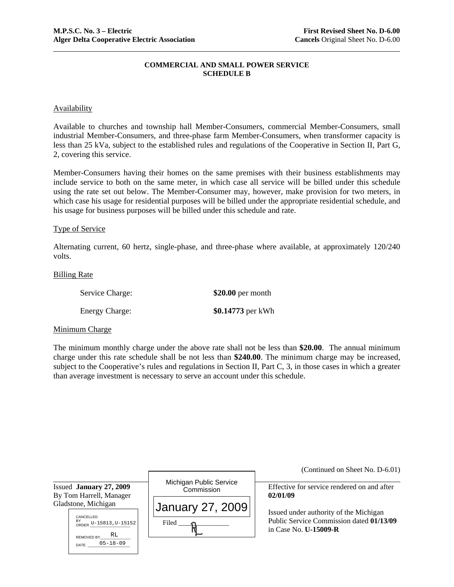# **COMMERCIAL AND SMALL POWER SERVICE SCHEDULE B**

# **Availability**

Available to churches and township hall Member-Consumers, commercial Member-Consumers, small industrial Member-Consumers, and three-phase farm Member-Consumers, when transformer capacity is less than 25 kVa, subject to the established rules and regulations of the Cooperative in Section II, Part G, 2, covering this service.

Member-Consumers having their homes on the same premises with their business establishments may include service to both on the same meter, in which case all service will be billed under this schedule using the rate set out below. The Member-Consumer may, however, make provision for two meters, in which case his usage for residential purposes will be billed under the appropriate residential schedule, and his usage for business purposes will be billed under this schedule and rate.

#### Type of Service

Alternating current, 60 hertz, single-phase, and three-phase where available, at approximately 120/240 volts.

#### Billing Rate

| Service Charge:       | $$20.00$ per month |
|-----------------------|--------------------|
| <b>Energy Charge:</b> | \$0.14773 per kWh  |

### Minimum Charge

The minimum monthly charge under the above rate shall not be less than **\$20.00**. The annual minimum charge under this rate schedule shall be not less than **\$240.00**. The minimum charge may be increased, subject to the Cooperative's rules and regulations in Section II, Part C, 3, in those cases in which a greater than average investment is necessary to serve an account under this schedule.

|                                                                                                                  |                                       | (Continued on Sheet No. D-6.01)                                                                                    |
|------------------------------------------------------------------------------------------------------------------|---------------------------------------|--------------------------------------------------------------------------------------------------------------------|
| Issued January 27, 2009<br>By Tom Harrell, Manager                                                               | Michigan Public Service<br>Commission | Effective for service rendered on and after<br>02/01/09                                                            |
| Gladstone, Michigan<br>CANCELLED<br>BY<br>ORDER U-15813, U-15152<br>REMOVED BY $_R$ RL<br>$05 - 18 - 09$<br>DATE | January 27, 2009<br>Filed             | Issued under authority of the Michigan<br>Public Service Commission dated 01/13/09<br>in Case No. <b>U-15009-R</b> |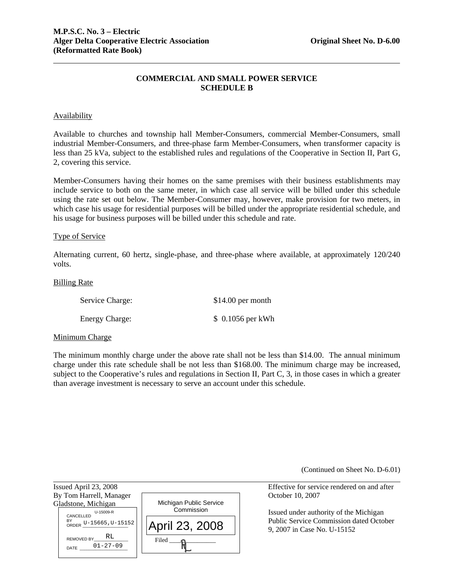# **COMMERCIAL AND SMALL POWER SERVICE SCHEDULE B**

# **Availability**

Available to churches and township hall Member-Consumers, commercial Member-Consumers, small industrial Member-Consumers, and three-phase farm Member-Consumers, when transformer capacity is less than 25 kVa, subject to the established rules and regulations of the Cooperative in Section II, Part G, 2, covering this service.

Member-Consumers having their homes on the same premises with their business establishments may include service to both on the same meter, in which case all service will be billed under this schedule using the rate set out below. The Member-Consumer may, however, make provision for two meters, in which case his usage for residential purposes will be billed under the appropriate residential schedule, and his usage for business purposes will be billed under this schedule and rate.

# Type of Service

Alternating current, 60 hertz, single-phase, and three-phase where available, at approximately 120/240 volts.

#### Billing Rate

| Service Charge:       | $$14.00$ per month |
|-----------------------|--------------------|
| <b>Energy Charge:</b> | $$0.1056$ per kWh  |

#### Minimum Charge

The minimum monthly charge under the above rate shall not be less than \$14.00. The annual minimum charge under this rate schedule shall be not less than \$168.00. The minimum charge may be increased, subject to the Cooperative's rules and regulations in Section II, Part C, 3, in those cases in which a greater than average investment is necessary to serve an account under this schedule.

(Continued on Sheet No. D-6.01)

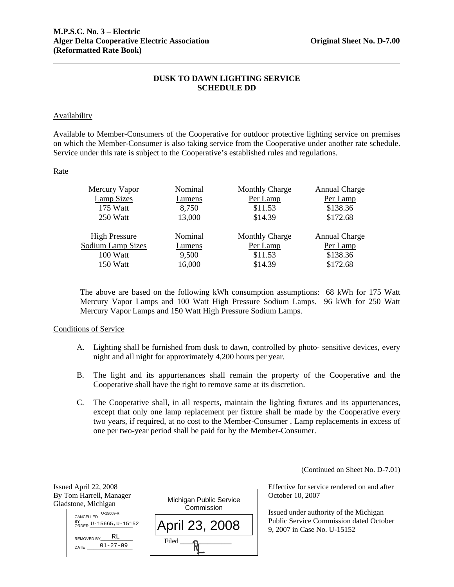# **DUSK TO DAWN LIGHTING SERVICE SCHEDULE DD**

# Availability

Available to Member-Consumers of the Cooperative for outdoor protective lighting service on premises on which the Member-Consumer is also taking service from the Cooperative under another rate schedule. Service under this rate is subject to the Cooperative's established rules and regulations.

# **Rate**

| Mercury Vapor        | Nominal | <b>Monthly Charge</b> | <b>Annual Charge</b> |
|----------------------|---------|-----------------------|----------------------|
| Lamp Sizes           | Lumens  | Per Lamp              | Per Lamp             |
| 175 Watt             | 8,750   | \$11.53               | \$138.36             |
| 250 Watt             | 13,000  | \$14.39               | \$172.68             |
|                      |         |                       |                      |
| <b>High Pressure</b> | Nominal | <b>Monthly Charge</b> | <b>Annual Charge</b> |
| Sodium Lamp Sizes    | Lumens  | Per Lamp              | Per Lamp             |
| 100 Watt             | 9,500   | \$11.53               | \$138.36             |
| 150 Watt             | 16,000  | \$14.39               | \$172.68             |
|                      |         |                       |                      |

The above are based on the following kWh consumption assumptions: 68 kWh for 175 Watt Mercury Vapor Lamps and 100 Watt High Pressure Sodium Lamps. 96 kWh for 250 Watt Mercury Vapor Lamps and 150 Watt High Pressure Sodium Lamps.

# Conditions of Service

- A. Lighting shall be furnished from dusk to dawn, controlled by photo- sensitive devices, every night and all night for approximately 4,200 hours per year.
- B. The light and its appurtenances shall remain the property of the Cooperative and the Cooperative shall have the right to remove same at its discretion.
- C. The Cooperative shall, in all respects, maintain the lighting fixtures and its appurtenances, except that only one lamp replacement per fixture shall be made by the Cooperative every two years, if required, at no cost to the Member-Consumer . Lamp replacements in excess of one per two-year period shall be paid for by the Member-Consumer.

(Continued on Sheet No. D-7.01)

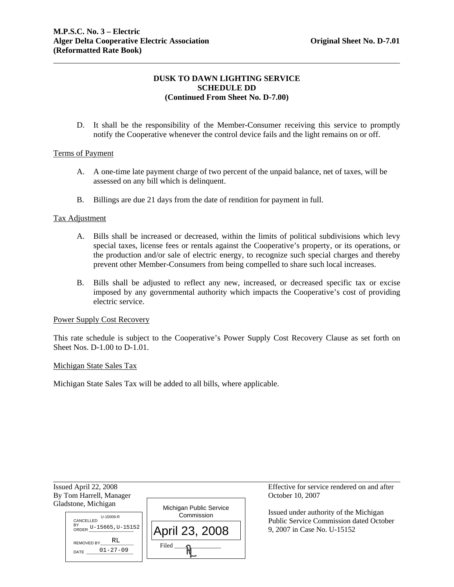# **DUSK TO DAWN LIGHTING SERVICE SCHEDULE DD (Continued From Sheet No. D-7.00)**

D. It shall be the responsibility of the Member-Consumer receiving this service to promptly notify the Cooperative whenever the control device fails and the light remains on or off.

# Terms of Payment

- A. A one-time late payment charge of two percent of the unpaid balance, net of taxes, will be assessed on any bill which is delinquent.
- B. Billings are due 21 days from the date of rendition for payment in full.

# Tax Adjustment

- A. Bills shall be increased or decreased, within the limits of political subdivisions which levy special taxes, license fees or rentals against the Cooperative's property, or its operations, or the production and/or sale of electric energy, to recognize such special charges and thereby prevent other Member-Consumers from being compelled to share such local increases.
- B. Bills shall be adjusted to reflect any new, increased, or decreased specific tax or excise imposed by any governmental authority which impacts the Cooperative's cost of providing electric service.

# Power Supply Cost Recovery

This rate schedule is subject to the Cooperative's Power Supply Cost Recovery Clause as set forth on Sheet Nos. D-1.00 to D-1.01.

#### Michigan State Sales Tax

Michigan State Sales Tax will be added to all bills, where applicable.

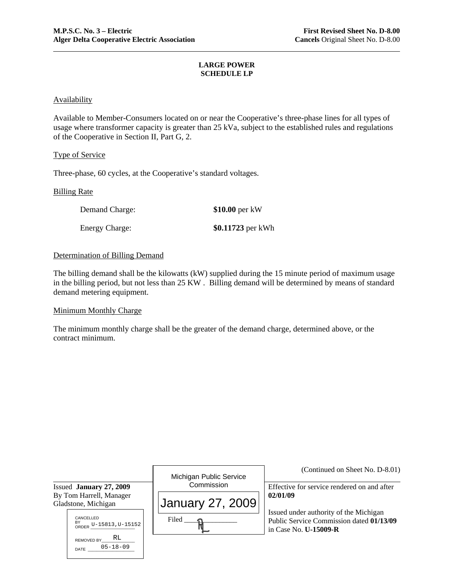### **LARGE POWER SCHEDULE LP**

# **Availability**

Available to Member-Consumers located on or near the Cooperative's three-phase lines for all types of usage where transformer capacity is greater than 25 kVa, subject to the established rules and regulations of the Cooperative in Section II, Part G, 2.

# Type of Service

Three-phase, 60 cycles, at the Cooperative's standard voltages.

# Billing Rate

| Demand Charge:        | $$10.00$ per kW   |
|-----------------------|-------------------|
| <b>Energy Charge:</b> | \$0.11723 per kWh |

# Determination of Billing Demand

The billing demand shall be the kilowatts (kW) supplied during the 15 minute period of maximum usage in the billing period, but not less than 25 KW . Billing demand will be determined by means of standard demand metering equipment.

### Minimum Monthly Charge

DATE

The minimum monthly charge shall be the greater of the demand charge, determined above, or the contract minimum.

|                                                                                             | Michigan Public Service          | (Continued on Sheet No. D-8.01)                                                                                                                                               |
|---------------------------------------------------------------------------------------------|----------------------------------|-------------------------------------------------------------------------------------------------------------------------------------------------------------------------------|
| Issued January 27, 2009                                                                     | Commission                       | Effective for service rendered on and after<br>02/01/09<br>Issued under authority of the Michigan<br>Public Service Commission dated 01/13/09<br>in Case No. <b>U-15009-R</b> |
| By Tom Harrell, Manager<br>Gladstone, Michigan<br>CANCELLED<br>BY<br>ORDER U-15813, U-15152 | <b>January 27, 2009</b><br>Filed |                                                                                                                                                                               |
| RL<br><b>REMOVED BY</b><br>$05 - 18 - 09$<br>$\sim$ $\sim$ $\sim$                           |                                  |                                                                                                                                                                               |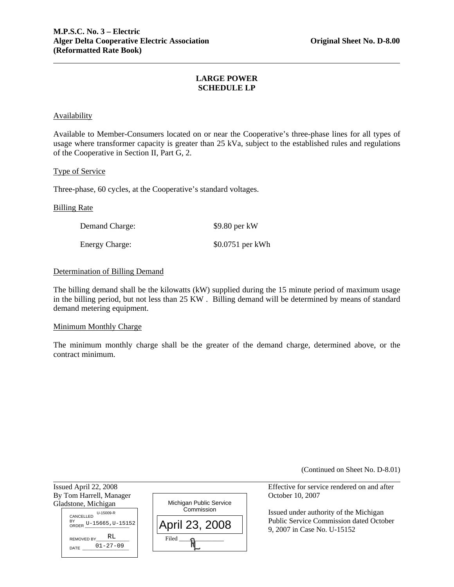# **LARGE POWER SCHEDULE LP**

# **Availability**

Available to Member-Consumers located on or near the Cooperative's three-phase lines for all types of usage where transformer capacity is greater than 25 kVa, subject to the established rules and regulations of the Cooperative in Section II, Part G, 2.

#### Type of Service

Three-phase, 60 cycles, at the Cooperative's standard voltages.

#### Billing Rate

l

Gladstone, Michigan

CANCELLED<br>D-15009-R

DATE  $01 - 27 - 09$ 

| Demand Charge: | $$9.80$ per kW    |
|----------------|-------------------|
| Energy Charge: | $$0.0751$ per kWh |

# Determination of Billing Demand

The billing demand shall be the kilowatts (kW) supplied during the 15 minute period of maximum usage in the billing period, but not less than 25 KW . Billing demand will be determined by means of standard demand metering equipment.

#### Minimum Monthly Charge

The minimum monthly charge shall be the greater of the demand charge, determined above, or the contract minimum.

(Continued on Sheet No. D-8.01)

Issued April 22, 2008 Effective for service rendered on and after By Tom Harrell, Manager Case Contact Contact Corp. 2007 Michigan Public Service **Commission** April 23, 2008 BY<br>ORDER U-15665,U-15152 REMOVED BY RL  $0.15009-R$ <br>5665,  $U-15$ <br> $\cdot$  RL<br> $01-27-09$ 

 $Filed$   $\longrightarrow$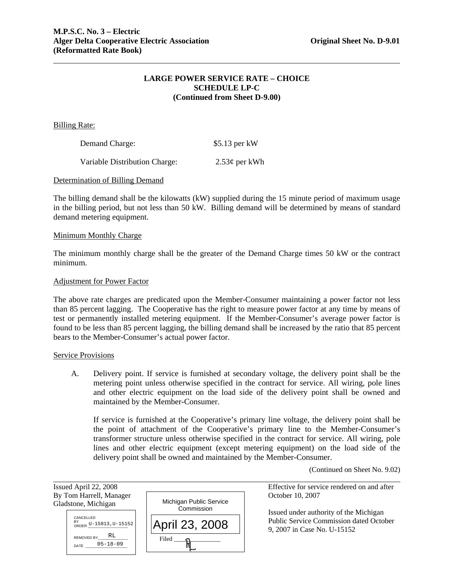# **LARGE POWER SERVICE RATE – CHOICE SCHEDULE LP-C (Continued from Sheet D-9.00)**

Billing Rate:

| Demand Charge:                | $$5.13$ per kW  |
|-------------------------------|-----------------|
| Variable Distribution Charge: | $2.53¢$ per kWh |

#### Determination of Billing Demand

The billing demand shall be the kilowatts (kW) supplied during the 15 minute period of maximum usage in the billing period, but not less than 50 kW. Billing demand will be determined by means of standard demand metering equipment.

#### Minimum Monthly Charge

The minimum monthly charge shall be the greater of the Demand Charge times 50 kW or the contract minimum.

#### Adjustment for Power Factor

The above rate charges are predicated upon the Member-Consumer maintaining a power factor not less than 85 percent lagging. The Cooperative has the right to measure power factor at any time by means of test or permanently installed metering equipment. If the Member-Consumer's average power factor is found to be less than 85 percent lagging, the billing demand shall be increased by the ratio that 85 percent bears to the Member-Consumer's actual power factor.

#### Service Provisions

A. Delivery point. If service is furnished at secondary voltage, the delivery point shall be the metering point unless otherwise specified in the contract for service. All wiring, pole lines and other electric equipment on the load side of the delivery point shall be owned and maintained by the Member-Consumer.

 If service is furnished at the Cooperative's primary line voltage, the delivery point shall be the point of attachment of the Cooperative's primary line to the Member-Consumer's transformer structure unless otherwise specified in the contract for service. All wiring, pole lines and other electric equipment (except metering equipment) on the load side of the delivery point shall be owned and maintained by the Member-Consumer.

(Continued on Sheet No. 9.02)

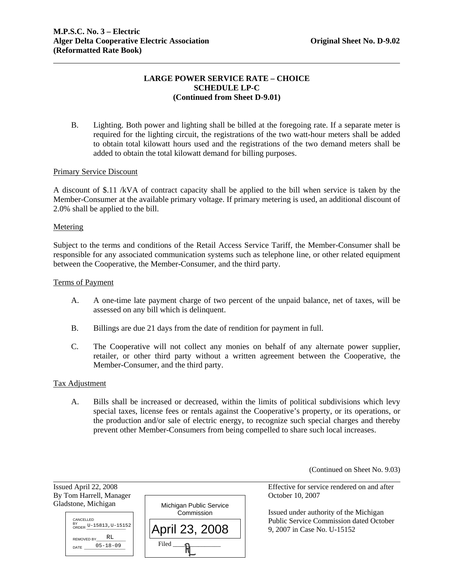# **LARGE POWER SERVICE RATE – CHOICE SCHEDULE LP-C (Continued from Sheet D-9.01)**

B. Lighting. Both power and lighting shall be billed at the foregoing rate. If a separate meter is required for the lighting circuit, the registrations of the two watt-hour meters shall be added to obtain total kilowatt hours used and the registrations of the two demand meters shall be added to obtain the total kilowatt demand for billing purposes.

#### Primary Service Discount

A discount of \$.11 /kVA of contract capacity shall be applied to the bill when service is taken by the Member-Consumer at the available primary voltage. If primary metering is used, an additional discount of 2.0% shall be applied to the bill.

#### Metering

Subject to the terms and conditions of the Retail Access Service Tariff, the Member-Consumer shall be responsible for any associated communication systems such as telephone line, or other related equipment between the Cooperative, the Member-Consumer, and the third party.

#### Terms of Payment

- A. A one-time late payment charge of two percent of the unpaid balance, net of taxes, will be assessed on any bill which is delinquent.
- B. Billings are due 21 days from the date of rendition for payment in full.
- C. The Cooperative will not collect any monies on behalf of any alternate power supplier, retailer, or other third party without a written agreement between the Cooperative, the Member-Consumer, and the third party.

#### Tax Adjustment

l

A. Bills shall be increased or decreased, within the limits of political subdivisions which levy special taxes, license fees or rentals against the Cooperative's property, or its operations, or the production and/or sale of electric energy, to recognize such special charges and thereby prevent other Member-Consumers from being compelled to share such local increases.

(Continued on Sheet No. 9.03)

Issued April 22, 2008 Effective for service rendered on and after By Tom Harrell, Manager October 10, 2007 Gladstone, Michigan Michigan Public Service **Commission** Filed \_\_\_\_\_\_\_\_\_\_\_\_\_\_\_ April 23, 2008 CANCELLED BY<br>ORDER U-15813,U-15152 REMOVED BY DATE 05-18-09 RL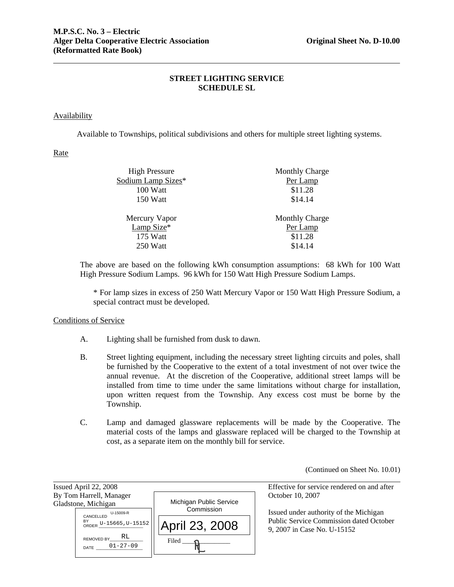# **STREET LIGHTING SERVICE SCHEDULE SL**

# Availability

Available to Townships, political subdivisions and others for multiple street lighting systems.

# Rate

| <b>High Pressure</b> | <b>Monthly Charge</b> |
|----------------------|-----------------------|
| Sodium Lamp Sizes*   | Per Lamp              |
| 100 Watt             | \$11.28               |
| 150 Watt             | \$14.14               |
| Mercury Vapor        | <b>Monthly Charge</b> |
| Lamp Size*           | Per Lamp              |
| 175 Watt             | \$11.28               |
| 250 Watt             | \$14.14               |
|                      |                       |

The above are based on the following kWh consumption assumptions: 68 kWh for 100 Watt High Pressure Sodium Lamps. 96 kWh for 150 Watt High Pressure Sodium Lamps.

\* For lamp sizes in excess of 250 Watt Mercury Vapor or 150 Watt High Pressure Sodium, a special contract must be developed.

### Conditions of Service

- A. Lighting shall be furnished from dusk to dawn.
- B. Street lighting equipment, including the necessary street lighting circuits and poles, shall be furnished by the Cooperative to the extent of a total investment of not over twice the annual revenue. At the discretion of the Cooperative, additional street lamps will be installed from time to time under the same limitations without charge for installation, upon written request from the Township. Any excess cost must be borne by the Township.
- C. Lamp and damaged glassware replacements will be made by the Cooperative. The material costs of the lamps and glassware replaced will be charged to the Township at cost, as a separate item on the monthly bill for service.

(Continued on Sheet No. 10.01)

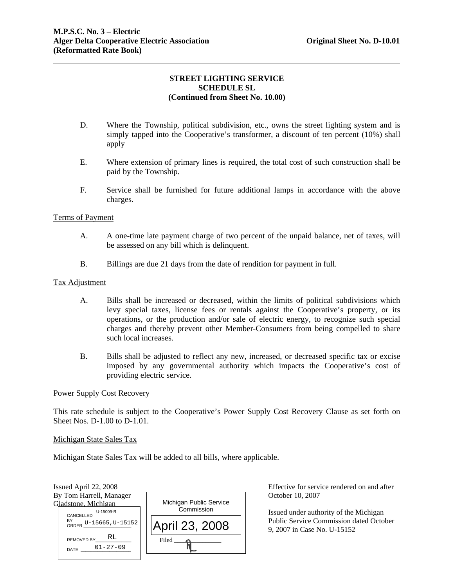# **STREET LIGHTING SERVICE SCHEDULE SL (Continued from Sheet No. 10.00)**

- D. Where the Township, political subdivision, etc., owns the street lighting system and is simply tapped into the Cooperative's transformer, a discount of ten percent (10%) shall apply
- E. Where extension of primary lines is required, the total cost of such construction shall be paid by the Township.
- F. Service shall be furnished for future additional lamps in accordance with the above charges.

# Terms of Payment

- A. A one-time late payment charge of two percent of the unpaid balance, net of taxes, will be assessed on any bill which is delinquent.
- B. Billings are due 21 days from the date of rendition for payment in full.

#### Tax Adjustment

- A. Bills shall be increased or decreased, within the limits of political subdivisions which levy special taxes, license fees or rentals against the Cooperative's property, or its operations, or the production and/or sale of electric energy, to recognize such special charges and thereby prevent other Member-Consumers from being compelled to share such local increases.
- B. Bills shall be adjusted to reflect any new, increased, or decreased specific tax or excise imposed by any governmental authority which impacts the Cooperative's cost of providing electric service.

#### Power Supply Cost Recovery

This rate schedule is subject to the Cooperative's Power Supply Cost Recovery Clause as set forth on Sheet Nos. D-1.00 to D-1.01.

#### Michigan State Sales Tax

Michigan State Sales Tax will be added to all bills, where applicable.

| Issued April 22, 2008                                                         |                                                         | Effective for service rendered on and after                                                                      |
|-------------------------------------------------------------------------------|---------------------------------------------------------|------------------------------------------------------------------------------------------------------------------|
| By Tom Harrell, Manager                                                       |                                                         | October 10, 2007                                                                                                 |
| Gladstone, Michigan<br>U-15009-R<br>CANCELLED<br>BY<br>ORDER U-15665, U-15152 | Michigan Public Service<br>Commission<br>April 23, 2008 | Issued under authority of the Michigan<br>Public Service Commission dated October<br>9, 2007 in Case No. U-15152 |
| RL<br><b>REMOVED BY</b><br>$01 - 27 - 09$<br>DATE                             | Filed                                                   |                                                                                                                  |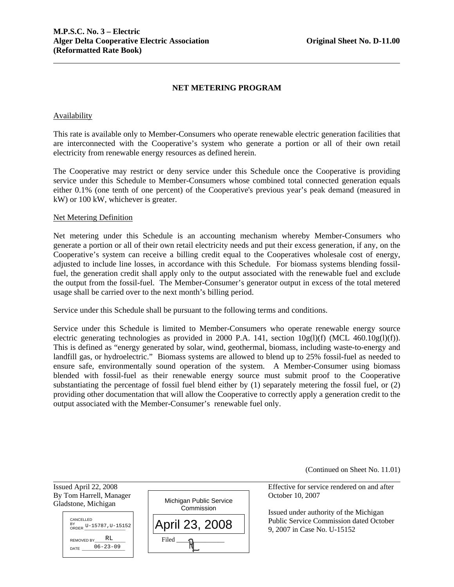# **NET METERING PROGRAM**

#### Availability

This rate is available only to Member-Consumers who operate renewable electric generation facilities that are interconnected with the Cooperative's system who generate a portion or all of their own retail electricity from renewable energy resources as defined herein.

The Cooperative may restrict or deny service under this Schedule once the Cooperative is providing service under this Schedule to Member-Consumers whose combined total connected generation equals either 0.1% (one tenth of one percent) of the Cooperative's previous year's peak demand (measured in kW) or 100 kW, whichever is greater.

#### Net Metering Definition

Net metering under this Schedule is an accounting mechanism whereby Member-Consumers who generate a portion or all of their own retail electricity needs and put their excess generation, if any, on the Cooperative's system can receive a billing credit equal to the Cooperatives wholesale cost of energy, adjusted to include line losses, in accordance with this Schedule. For biomass systems blending fossilfuel, the generation credit shall apply only to the output associated with the renewable fuel and exclude the output from the fossil-fuel. The Member-Consumer's generator output in excess of the total metered usage shall be carried over to the next month's billing period.

Service under this Schedule shall be pursuant to the following terms and conditions.

Service under this Schedule is limited to Member-Consumers who operate renewable energy source electric generating technologies as provided in 2000 P.A. 141, section  $10g(1)(f)$  (MCL 460.10g(1)(f)). This is defined as "energy generated by solar, wind, geothermal, biomass, including waste-to-energy and landfill gas, or hydroelectric." Biomass systems are allowed to blend up to 25% fossil-fuel as needed to ensure safe, environmentally sound operation of the system. A Member-Consumer using biomass blended with fossil-fuel as their renewable energy source must submit proof to the Cooperative substantiating the percentage of fossil fuel blend either by (1) separately metering the fossil fuel, or (2) providing other documentation that will allow the Cooperative to correctly apply a generation credit to the output associated with the Member-Consumer's renewable fuel only.

(Continued on Sheet No. 11.01)

Issued April 22, 2008 Effective for service rendered on and after

 Issued under authority of the Michigan Public Service Commission dated October 9, 2007 in Case No. U-15152

Gladstone, Michigan

l



By Tom Harrell, Manager October 10, 2007 Michigan Public Service **Commission**  $Filed$   $\longrightarrow$   $\mathcal{R}$ April 23, 2008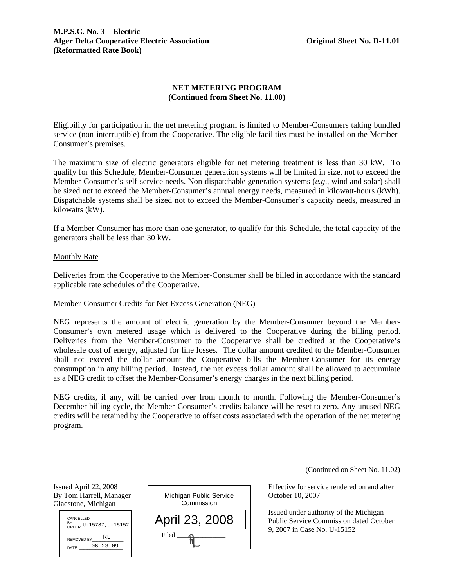# **NET METERING PROGRAM (Continued from Sheet No. 11.00)**

Eligibility for participation in the net metering program is limited to Member-Consumers taking bundled service (non-interruptible) from the Cooperative. The eligible facilities must be installed on the Member-Consumer's premises.

The maximum size of electric generators eligible for net metering treatment is less than 30 kW. To qualify for this Schedule, Member-Consumer generation systems will be limited in size, not to exceed the Member-Consumer's self-service needs. Non-dispatchable generation systems (*e.g*., wind and solar) shall be sized not to exceed the Member-Consumer's annual energy needs, measured in kilowatt-hours (kWh). Dispatchable systems shall be sized not to exceed the Member-Consumer's capacity needs, measured in kilowatts (kW).

If a Member-Consumer has more than one generator, to qualify for this Schedule, the total capacity of the generators shall be less than 30 kW.

# Monthly Rate

Deliveries from the Cooperative to the Member-Consumer shall be billed in accordance with the standard applicable rate schedules of the Cooperative.

#### Member-Consumer Credits for Net Excess Generation (NEG)

NEG represents the amount of electric generation by the Member-Consumer beyond the Member-Consumer's own metered usage which is delivered to the Cooperative during the billing period. Deliveries from the Member-Consumer to the Cooperative shall be credited at the Cooperative's wholesale cost of energy, adjusted for line losses. The dollar amount credited to the Member-Consumer shall not exceed the dollar amount the Cooperative bills the Member-Consumer for its energy consumption in any billing period. Instead, the net excess dollar amount shall be allowed to accumulate as a NEG credit to offset the Member-Consumer's energy charges in the next billing period.

NEG credits, if any, will be carried over from month to month. Following the Member-Consumer's December billing cycle, the Member-Consumer's credits balance will be reset to zero. Any unused NEG credits will be retained by the Cooperative to offset costs associated with the operation of the net metering program.

(Continued on Sheet No. 11.02)